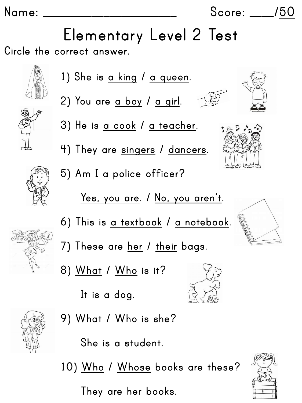## **Name: \_\_\_\_\_\_\_\_\_\_\_\_\_\_\_\_\_\_\_\_\_\_ Score: \_\_\_\_/50**

**Circle the correct answer. Elementary Level 2 Test**





**1) She is a king / a queen. 2) You are a boy / a girl. 3) He is a cook / a teacher.**

**4) They are singers / dancers.**

**5) Am I a police officer?** 

**Yes, you are. / No, you aren't.**

**6) This is a textbook / a notebook.**

**7) These are her / their bags.**

**8) What / Who is it?**

**It is a dog.**

**9) What / Who is she?**

**She is a student.**

**10) Who / Whose books are these?**

**They are her books.**







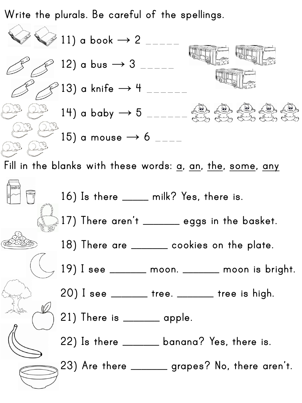**Write the plurals. Be careful of the spellings.**

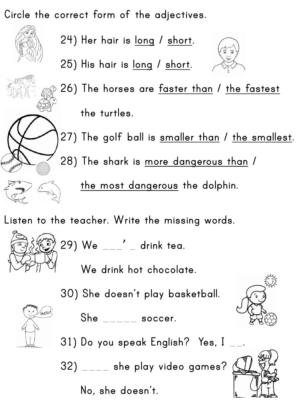**Circle the correct form of the adjectives.**

**24) Her hair is long / short.**

**25) His hair is long / short.**



**26) The horses are faster than / the fastest**

**the turtles.**

**27) The golf ball is smaller than / the smallest.**

**28) The shark is more dangerous than /** 

**the most dangerous the dolphin.**

**Listen to the teacher. Write the missing words.**



$$
29) We \_\_\_'\ \mathsf{drink} \ \mathsf{tea}.
$$

**We drink hot chocolate.**

**30) She doesn't play basketball.** 



**She** \_\_\_\_\_ **soccer.**

**31) Do you speak English? Yes, I** \_\_**.**

**32)** \_\_\_\_ **she play video games?**

**No, she doesn't.**